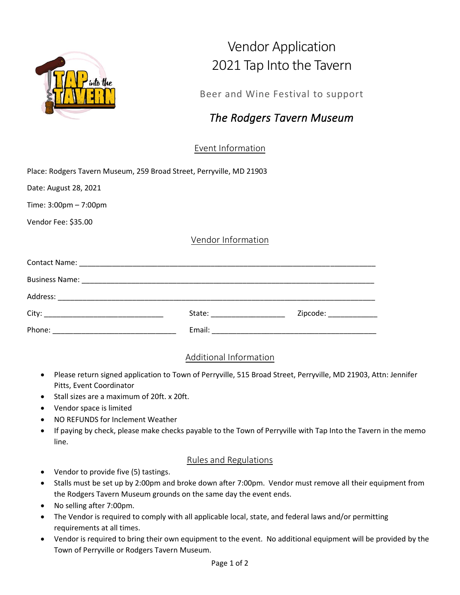

## Vendor Application 2021 Tap Into the Tavern

Beer and Wine Festival to support

## *The Rodgers Tavern Museum*

Event Information

|  |  |  | Place: Rodgers Tavern Museum, 259 Broad Street, Perryville, MD 21903 |  |
|--|--|--|----------------------------------------------------------------------|--|
|  |  |  |                                                                      |  |
|  |  |  |                                                                      |  |

Date: August 28, 2021

Time: 3:00pm – 7:00pm

Vendor Fee: \$35.00

Vendor Information

|        | State: National Contract of the State: | Zipcode: _____________ |  |  |  |  |
|--------|----------------------------------------|------------------------|--|--|--|--|
| Phone: | Email:                                 |                        |  |  |  |  |

## Additional Information

- Please return signed application to Town of Perryville, 515 Broad Street, Perryville, MD 21903, Attn: Jennifer Pitts, Event Coordinator
- Stall sizes are a maximum of 20ft. x 20ft.
- Vendor space is limited
- NO REFUNDS for Inclement Weather
- If paying by check, please make checks payable to the Town of Perryville with Tap Into the Tavern in the memo line.

## Rules and Regulations

- Vendor to provide five (5) tastings.
- Stalls must be set up by 2:00pm and broke down after 7:00pm. Vendor must remove all their equipment from the Rodgers Tavern Museum grounds on the same day the event ends.
- No selling after 7:00pm.
- The Vendor is required to comply with all applicable local, state, and federal laws and/or permitting requirements at all times.
- Vendor is required to bring their own equipment to the event. No additional equipment will be provided by the Town of Perryville or Rodgers Tavern Museum.